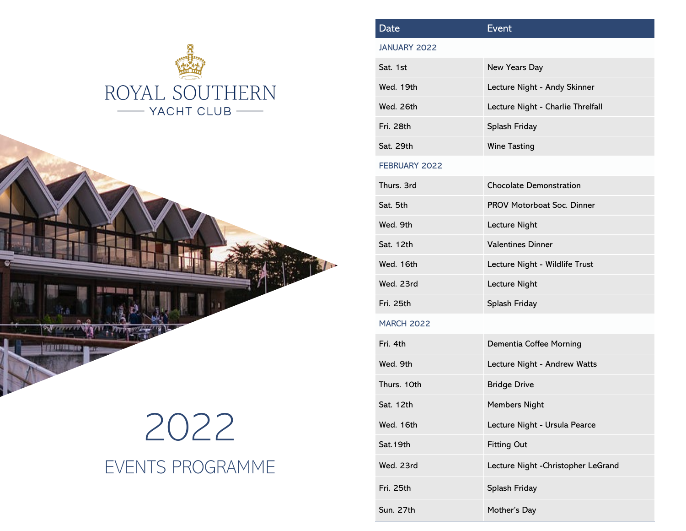



## 2022 EVENTS PROGRAMME

| Date                | <b>Event</b>                        |
|---------------------|-------------------------------------|
| <b>JANUARY 2022</b> |                                     |
| Sat. 1st            | New Years Day                       |
| Wed. 19th           | Lecture Night - Andy Skinner        |
| Wed. 26th           | Lecture Night - Charlie Threlfall   |
| Fri. 28th           | Splash Friday                       |
| Sat. 29th           | <b>Wine Tasting</b>                 |
| FEBRUARY 2022       |                                     |
| Thurs. 3rd          | <b>Chocolate Demonstration</b>      |
| Sat. 5th            | <b>PROV Motorboat Soc. Dinner</b>   |
| Wed. 9th            | Lecture Night                       |
| Sat. 12th           | <b>Valentines Dinner</b>            |
| Wed. 16th           | Lecture Night - Wildlife Trust      |
| Wed. 23rd           | Lecture Night                       |
| Fri. 25th           | Splash Friday                       |
| <b>MARCH 2022</b>   |                                     |
| Fri. 4th            | Dementia Coffee Morning             |
| Wed. 9th            | Lecture Night - Andrew Watts        |
| Thurs. 10th         | <b>Bridge Drive</b>                 |
| Sat. 12th           | Members Night                       |
| Wed. 16th           | Lecture Night - Ursula Pearce       |
| Sat. 19th           | <b>Fitting Out</b>                  |
| Wed. 23rd           | Lecture Night - Christopher LeGrand |
| Fri. 25th           | Splash Friday                       |
| Sun. 27th           | Mother's Day                        |